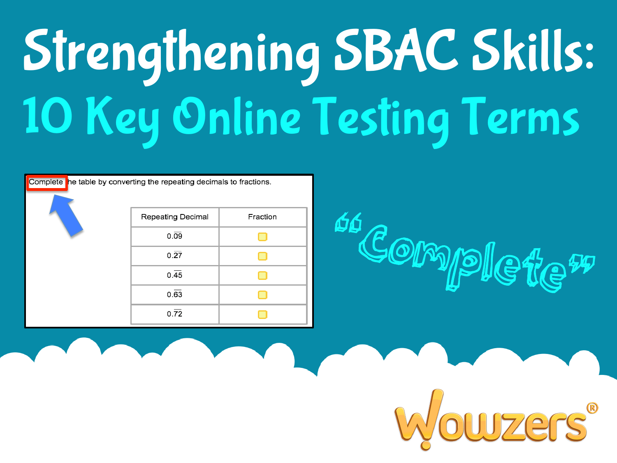#### Strengthening SBAC Skills: 10 Key Online Testing Terms

| Complete he table by converting the repeating decimals to fractions. |                   |          |
|----------------------------------------------------------------------|-------------------|----------|
|                                                                      | Repeating Decimal | Fraction |
|                                                                      | $0.\overline{09}$ |          |
|                                                                      | $0.\overline{27}$ |          |
|                                                                      | 0.45              |          |
|                                                                      | $0.\overline{63}$ |          |
|                                                                      | $0.\overline{72}$ |          |

# ss Complete"

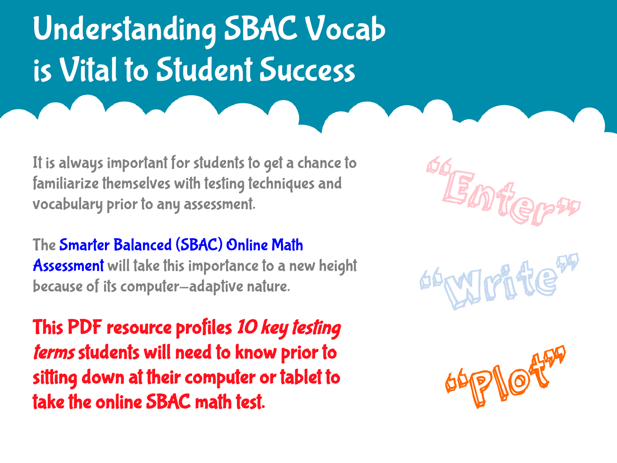#### Understanding SBAC Vocab is Vital to Student Success

It is always important for students to get a chance to familiarize themselves with testing techniques and vocabulary prior to any assessment.

The Smarter Balanced (SBAC) Online Math Assessment will take this importance to a new height because of its computer-adaptive nature.

This PDF resource profiles 10 key testing terms students will need to know prior to sitting down at their computer or tablet to take the online SBAC math test.





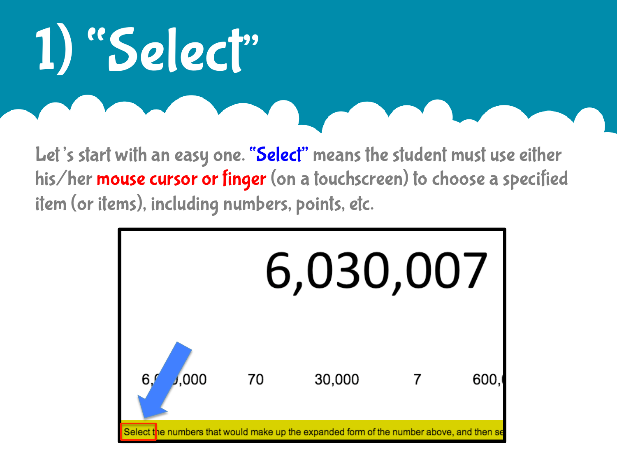#### 1) "Select"

Let's start with an easy one. "Select" means the student must use either his/her mouse cursor or finger (on a touchscreen) to choose a specified item (or items), including numbers, points, etc.

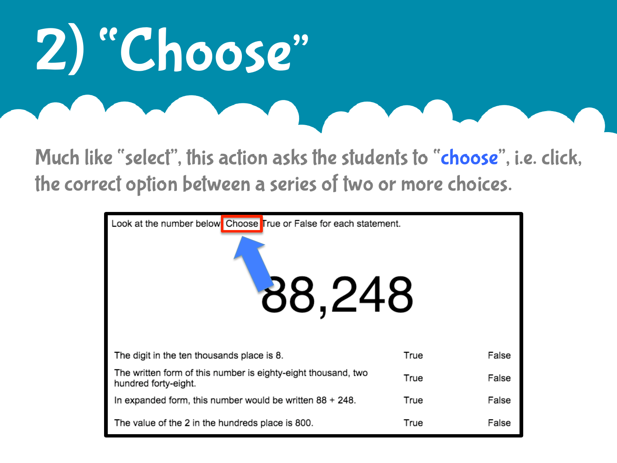#### 2) "Choose"

Much like "select", this action asks the students to "choose", i.e. click, the correct option between a series of two or more choices.

| Look at the number below Choose True or False for each statement.<br>88,248           |      |       |  |  |  |
|---------------------------------------------------------------------------------------|------|-------|--|--|--|
| The digit in the ten thousands place is 8.                                            | True | False |  |  |  |
| The written form of this number is eighty-eight thousand, two<br>hundred forty-eight. | True | False |  |  |  |
| In expanded form, this number would be written $88 + 248$ .                           | True | False |  |  |  |
| The value of the 2 in the hundreds place is 800.                                      | True | False |  |  |  |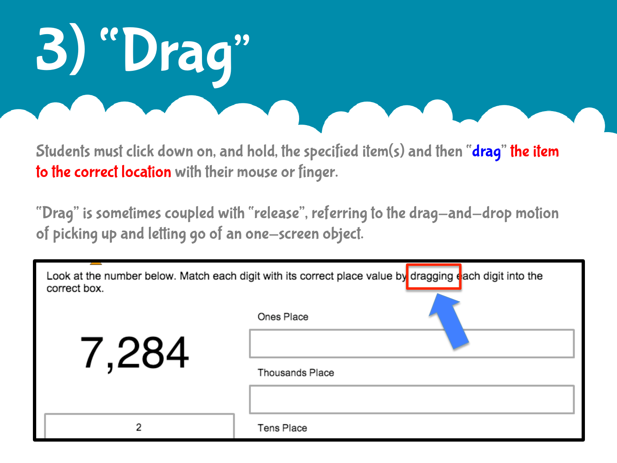# 3) "Drag"

Students must click down on, and hold, the specified item(s) and then "drag" the item to the correct location with their mouse or finger.

"Drag" is sometimes coupled with "release", referring to the drag-and-drop motion of picking up and letting go of an one-screen object.

| Look at the number below. Match each digit with its correct place value by dragging each digit into the<br>correct box. |                        |  |
|-------------------------------------------------------------------------------------------------------------------------|------------------------|--|
|                                                                                                                         | Ones Place             |  |
| 7,284                                                                                                                   |                        |  |
|                                                                                                                         | <b>Thousands Place</b> |  |
|                                                                                                                         |                        |  |
|                                                                                                                         | <b>Tens Place</b>      |  |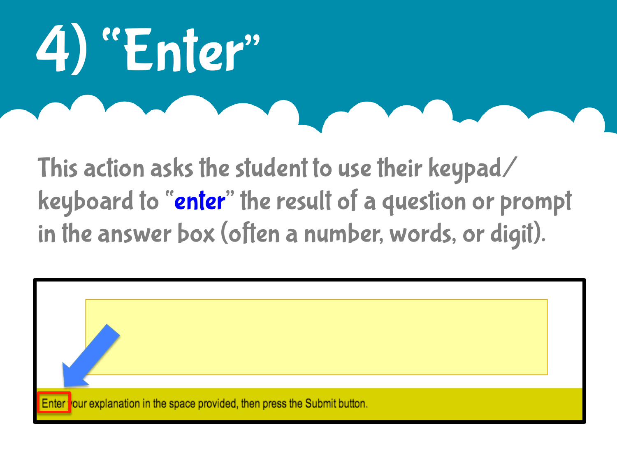# 4) "Enter"

This action asks the student to use their keypad/ keyboard to "enter" the result of a question or prompt in the answer box (often a number, words, or digit).

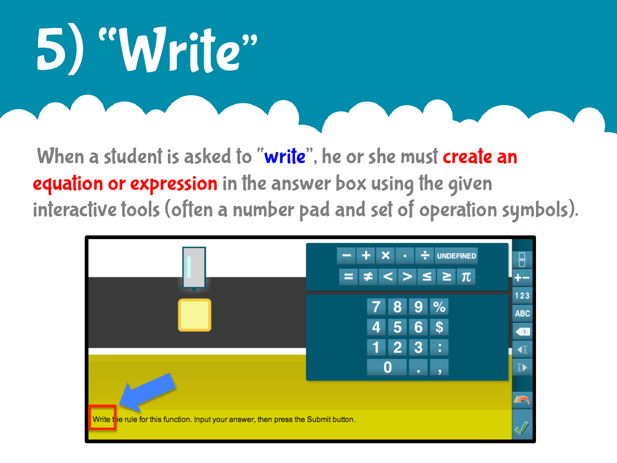### 5) "Write"

When a student is asked to "write", he or she must create an equation or expression in the answer box using the given interactive tools (often a number pad and set of operation symbols).

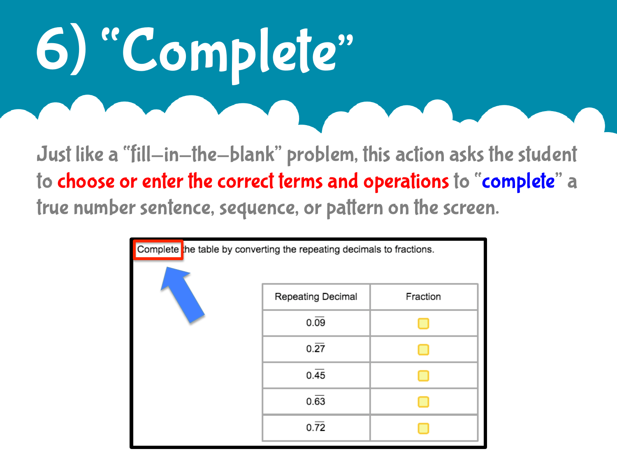# 6) "Complete"

Just like a "fill-in-the-blank" problem, this action asks the student to choose or enter the correct terms and operations to "complete" a true number sentence, sequence, or pattern on the screen.

| Complete the table by converting the repeating decimals to fractions. |                   |          |
|-----------------------------------------------------------------------|-------------------|----------|
|                                                                       | Repeating Decimal | Fraction |
|                                                                       | $0.\overline{09}$ |          |
|                                                                       | $0.\overline{27}$ |          |
|                                                                       | 0.45              |          |
|                                                                       | $0.\overline{63}$ |          |
|                                                                       | $0.\overline{72}$ |          |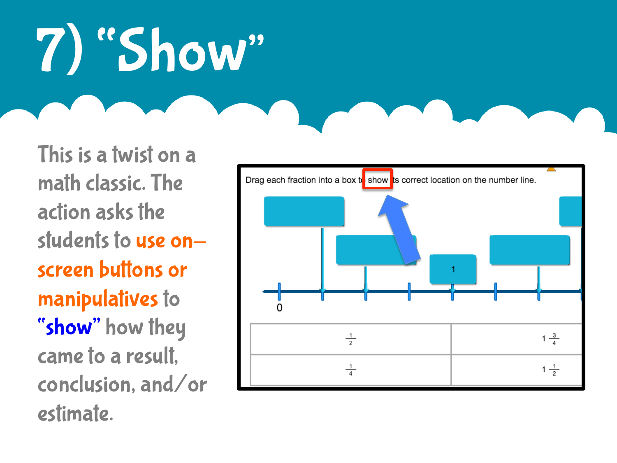### 7) "Show"

This is a twist on a math classic. The action asks the students to use onscreen buttons or manipulatives to "show" how they came to a result, conclusion, and/or estimate.

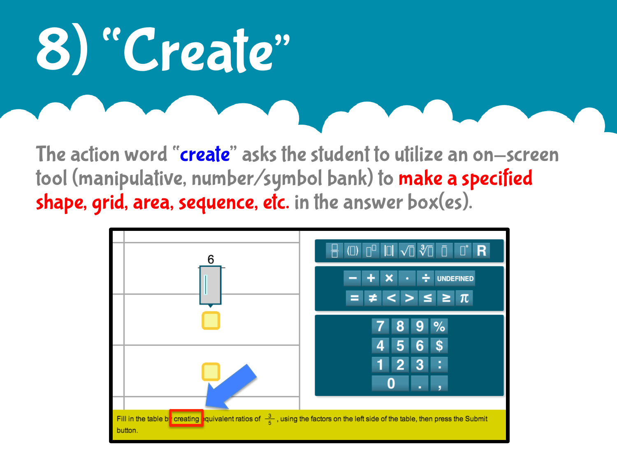# 8) "Create"

The action word "**create**" asks the student to utilize an on-screen tool (manipulative, number/symbol bank) to make a specified shape, grid, area, sequence, etc. in the answer box(es).

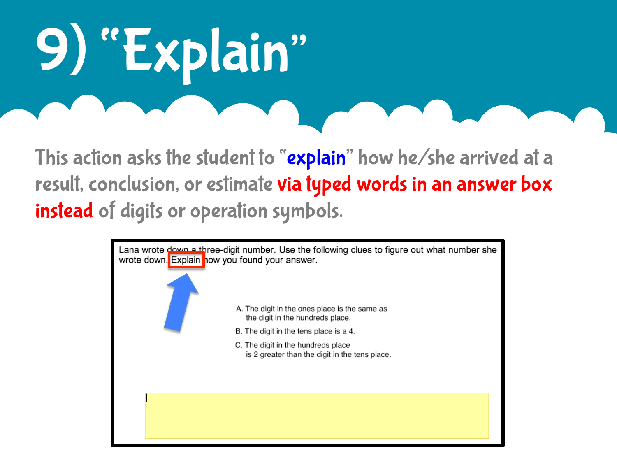# "Explain"

This action asks the student to "explain" how he/she arrived at a result, conclusion, or estimate via typed words in an answer box instead of digits or operation symbols.

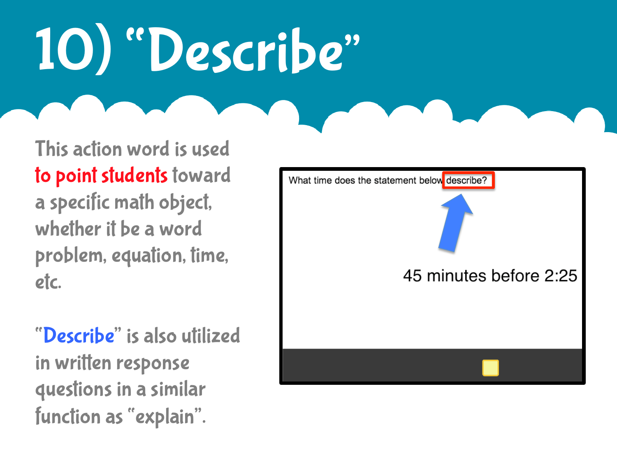#### 10) "Describe"

This action word is used to point students toward a specific math object, whether it be a word problem, equation, time, etc.

"Describe" is also utilized in written response questions in a similar function as "explain".